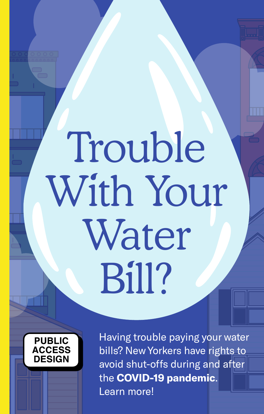# **Trouble** With Your Water Bill?



Having trouble paying your water bills? New Yorkers have rights to avoid shut-offs during and after the **COVID-19 pandemic**. Learn more!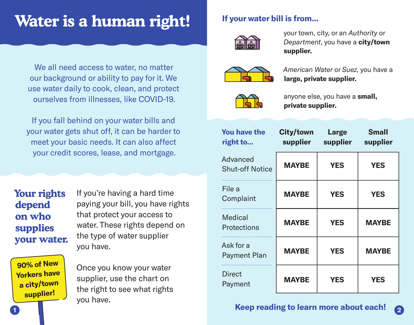# **Water is a human right!**

We all need access to water, no matter our background or ability to pay for it. We use water daily to cook, clean, and protect ourselves from illnesses, like COVID-19.

If you fall behind on your water bills and your water gets shut off, it can be harder to meet your basic needs. It can also affect your credit scores, lease, and mortgage.

**Your rights depend on who supplies your water.**

If you're having a hard time paying your bill, you have rights that protect your access to water. These rights depend on the type of water supplier you have.

**90% of New Yorkers have a city/town supplier!**

Once you know your water supplier, use the chart on the right to see what rights you have.

#### **If your water bill is from...**



your town, city, or an *Authority* or *Department*, you have a **city/town supplier.**



*American Water* or *Suez,* you have a **large, private supplier.**



anyone else, you have a **small, private supplier.**

| <b>You have the</b><br>right to    | <b>City/town Large</b> | supplier supplier | <b>Small</b><br>supplier |
|------------------------------------|------------------------|-------------------|--------------------------|
| Advanced<br><b>Shut-off Notice</b> | <b>MAYBE</b>           | <b>YES</b>        | <b>YES</b>               |
| File a<br>Complaint                | <b>MAYBE</b>           | <b>YES</b>        | <b>YES</b>               |
| Medical<br>Protections             | <b>MAYBE</b>           | <b>YES</b>        | <b>MAYBE</b>             |
| Ask for a<br>Payment Plan          | <b>MAYBE</b>           | <b>YES</b>        | <b>MAYBE</b>             |
| <b>Direct</b><br>Payment           | <b>MAYBE</b>           | <b>YES</b>        | <b>YES</b>               |

#### **Keep reading to learn more about each! 1 2**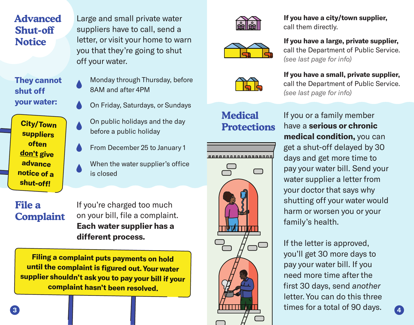# **Advanced Shut-off Notice**

Large and small private water suppliers have to call, send a letter, or visit your home to warn you that they're going to shut off your water.

**They cannot shut off your water:**

**City/Town suppliers often don't give advance notice of a shut-off!**

- Monday through Thursday, before 8AM and after 4PM
- On Friday, Saturdays, or Sundays
- On public holidays and the day before a public holiday
- From December 25 to January 1
- When the water supplier's office is closed

## **File a Complaint**

If you're charged too much on your bill, file a complaint. **Each water supplier has a different process.**

**Filing a complaint puts payments on hold until the complaint is figured out. Your water supplier shouldn't ask you to pay your bill if your complaint hasn't been resolved.**







# **Medical Protections**



**If you have a city/town supplier,** call them directly.

**If you have a large, private supplier,** call the Department of Public Service. *(see last page for info)*

**If you have a small, private supplier,** call the Department of Public Service. *(see last page for info)*

If you or a family member have a **serious or chronic medical condition,** you can get a shut-off delayed by 30 days and get more time to pay your water bill. Send your water supplier a letter from your doctor that says why shutting off your water would harm or worsen you or your family's health.

If the letter is approved, you'll get 30 more days to pay your water bill. If you need more time after the first 30 days, send *another* letter. You can do this three times for a total of 90 days. **3 4**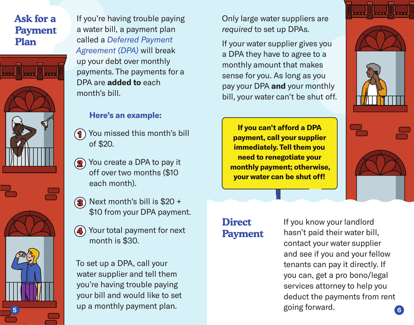# **Ask for a Payment Plan**



If you're having trouble paying a water bill, a payment plan called a *Deferred Payment Agreement (DPA)* will break up your debt over monthly payments. The payments for a DPA are **added to** each month's bill.

#### **Here's an example:**

- You missed this month's bill of \$20. **1**
- You create a DPA to pay it **2** off over two months (\$10 each month).



- Next month's bill is \$20 + **3** \$10 from your DPA payment.
- Your total payment for next **4**month is \$30.

To set up a DPA, call your water supplier and tell them you're having trouble paying your bill and would like to set up a monthly payment plan.

Only large water suppliers are *required* to set up DPAs.

If your water supplier gives you a DPA they have to agree to a monthly amount that makes sense for you. As long as you pay your DPA **and** your monthly bill, your water can't be shut off.

**If you can't afford a DPA payment, call your supplier immediately. Tell them you need to renegotiate your monthly payment; otherwise, your water can be shut off!**

# **Direct Payment**

If you know your landlord hasn't paid their water bill, contact your water supplier and see if you and your fellow tenants can pay it directly. If you can, get a pro bono/legal services attorney to help you deduct the payments from rent going forward. **5 6**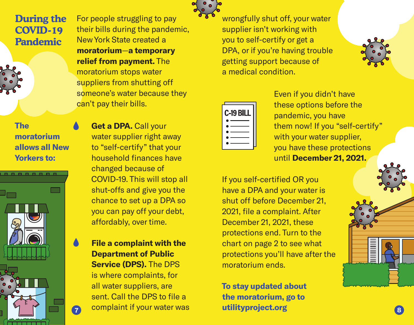**During the COVID-19 Pandemic**



**The moratorium allows all New Yorkers to:**



For people struggling to pay their bills during the pandemic, New York State created a **moratorium**—**a temporary relief from payment.** The moratorium stops water suppliers from shutting off someone's water because they can't pay their bills.

**• Get a DPA.** Call your water supplier right away to "self-certify" that your household finances have changed because of COVID-19. This will stop all shut-offs and give you the chance to set up a DPA so you can pay off your debt, affordably, over time.

**• File a complaint with the Department of Public Service (DPS).** The DPS is where complaints, for all water suppliers, are sent. Call the DPS to file a complaint if your water was **7 8**



wrongfully shut off, your water supplier isn't working with you to self-certify or get a DPA, or if you're having trouble getting support because of a medical condition.



Even if you didn't have these options before the pandemic, you have them now! If you "self-certify" with your water supplier. you have these protections until **December 21, 2021.**

If you self-certified OR you have a DPA and your water is shut off before December 21, 2021, file a complaint. After December 21, 2021, these protections end. Turn to the chart on page 2 to see what protections you'll have after the moratorium ends.

**To stay updated about the moratorium, go to utilityproject.org**

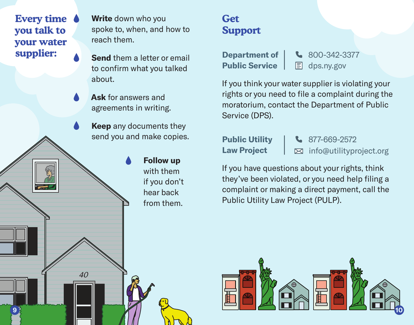**Every time you talk to your water supplier:**

**• Write** down who you spoke to, when, and how to reach them.

**• Send** them a letter or email to confirm what you talked about.

**• Ask** for answers and agreements in writing.

**Keep** any documents they send you and make copies.

> **Follow up** with them if you don't hear back from them.

# **Get Support**

**Public Service**  $\Box$  dps.ny.gov

**Department of | & 800-342-3377** 

If you think your water supplier is violating your rights or you need to file a complaint during the moratorium, contact the Department of Public Service (DPS).

**Public Utility | &** 877-669-2572 **Law Project**  $\vert$  ⊠ info@utilityproject.org

If you have questions about your rights, think they've been violated, or you need help filing a complaint or making a direct payment, call the Public Utility Law Project (PULP).